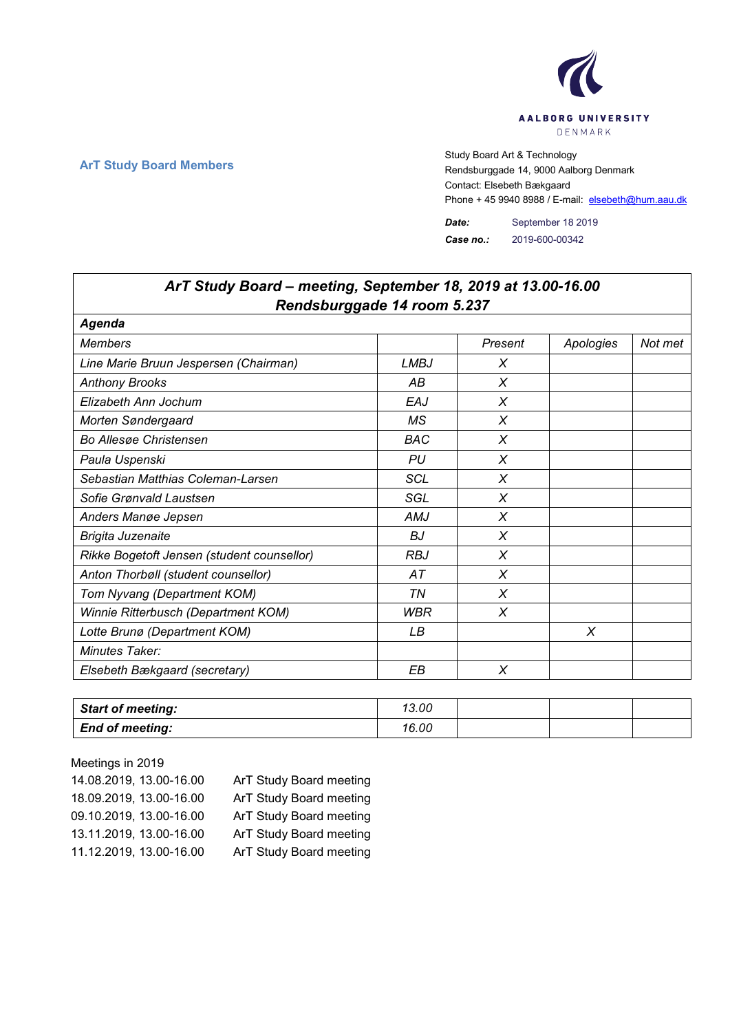

٦

 $\Gamma$ 

**ArT Study Board Members** Study Board Art & Technology **Art Study Board Art & Technology** Rendsburggade 14, 9000 Aalborg Denmark Contact: Elsebeth Bækgaard Phone + 45 9940 8988 / E-mail: elsebeth@hum.aau.dk

> *Date:* September 18 2019 *Case no.:* 2019-600-00342

| ArT Study Board - meeting, September 18, 2019 at 13.00-16.00<br>Rendsburggade 14 room 5.237 |             |          |           |         |  |
|---------------------------------------------------------------------------------------------|-------------|----------|-----------|---------|--|
| Agenda                                                                                      |             |          |           |         |  |
| <b>Members</b>                                                                              |             | Present  | Apologies | Not met |  |
| Line Marie Bruun Jespersen (Chairman)                                                       | <b>LMBJ</b> | X        |           |         |  |
| <b>Anthony Brooks</b>                                                                       | AB          | $\chi$   |           |         |  |
| Elizabeth Ann Jochum                                                                        | EAJ         | X        |           |         |  |
| Morten Søndergaard                                                                          | МS          | X        |           |         |  |
| <b>Bo Allesge Christensen</b>                                                               | BAC         | X        |           |         |  |
| Paula Uspenski                                                                              | <b>PU</b>   | X        |           |         |  |
| Sebastian Matthias Coleman-Larsen                                                           | <b>SCL</b>  | X        |           |         |  |
| Sofie Grønvald Laustsen                                                                     | SGL         | X        |           |         |  |
| Anders Manøe Jepsen                                                                         | AMJ         | X        |           |         |  |
| Brigita Juzenaite                                                                           | <b>BJ</b>   | $\times$ |           |         |  |
| Rikke Bogetoft Jensen (student counsellor)                                                  | <b>RBJ</b>  | X        |           |         |  |
| Anton Thorbøll (student counsellor)                                                         | AT          | X        |           |         |  |
| Tom Nyvang (Department KOM)                                                                 | ΤN          | X        |           |         |  |
| Winnie Ritterbusch (Department KOM)                                                         | <b>WBR</b>  | X        |           |         |  |
| Lotte Brunø (Department KOM)                                                                | LВ          |          | X         |         |  |
| Minutes Taker:                                                                              |             |          |           |         |  |
| Elsebeth Bækgaard (secretary)                                                               | EB          | X        |           |         |  |

| <b>Start of meeting:</b> | 13.00 |  |  |
|--------------------------|-------|--|--|
| <b>End of meeting:</b>   | 16.00 |  |  |

Meetings in 2019 14.08.2019, 13.00-16.00 ArT Study Board meeting 18.09.2019, 13.00-16.00 ArT Study Board meeting 09.10.2019, 13.00-16.00 ArT Study Board meeting 13.11.2019, 13.00-16.00 ArT Study Board meeting 11.12.2019, 13.00-16.00 ArT Study Board meeting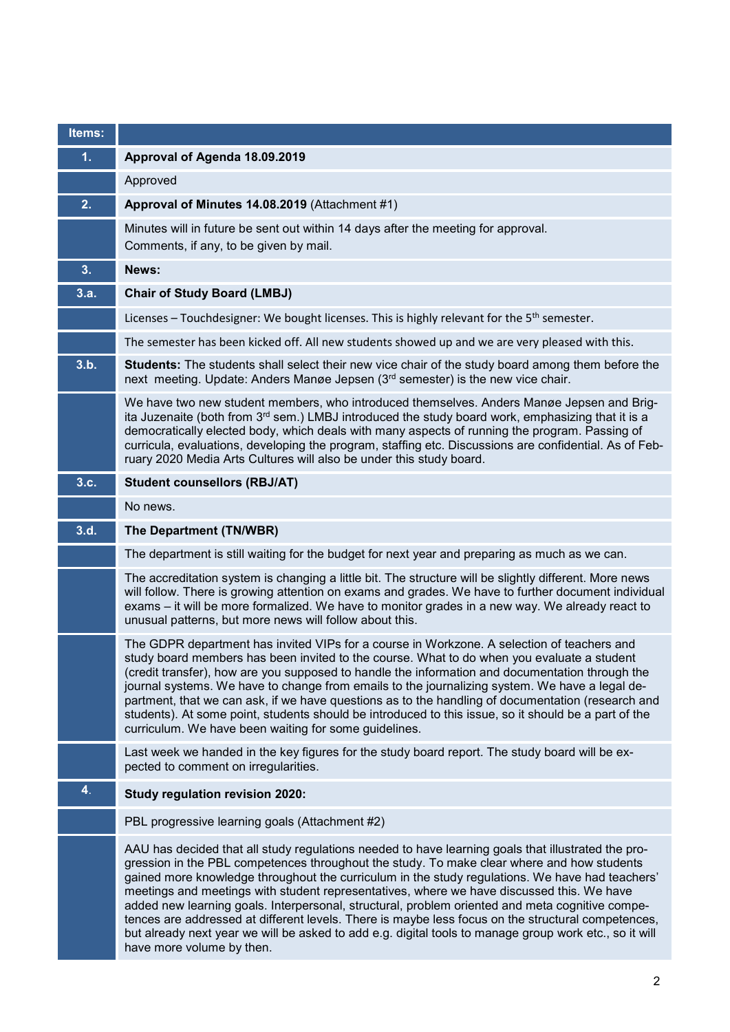| Items: |                                                                                                                                                                                                                                                                                                                                                                                                                                                                                                                                                                                                                                                                                                                                                  |
|--------|--------------------------------------------------------------------------------------------------------------------------------------------------------------------------------------------------------------------------------------------------------------------------------------------------------------------------------------------------------------------------------------------------------------------------------------------------------------------------------------------------------------------------------------------------------------------------------------------------------------------------------------------------------------------------------------------------------------------------------------------------|
| 1.     | Approval of Agenda 18.09.2019                                                                                                                                                                                                                                                                                                                                                                                                                                                                                                                                                                                                                                                                                                                    |
|        | Approved                                                                                                                                                                                                                                                                                                                                                                                                                                                                                                                                                                                                                                                                                                                                         |
| 2.     | Approval of Minutes 14.08.2019 (Attachment #1)                                                                                                                                                                                                                                                                                                                                                                                                                                                                                                                                                                                                                                                                                                   |
|        | Minutes will in future be sent out within 14 days after the meeting for approval.<br>Comments, if any, to be given by mail.                                                                                                                                                                                                                                                                                                                                                                                                                                                                                                                                                                                                                      |
| 3.     | News:                                                                                                                                                                                                                                                                                                                                                                                                                                                                                                                                                                                                                                                                                                                                            |
| 3.a.   | <b>Chair of Study Board (LMBJ)</b>                                                                                                                                                                                                                                                                                                                                                                                                                                                                                                                                                                                                                                                                                                               |
|        | Licenses – Touchdesigner: We bought licenses. This is highly relevant for the 5 <sup>th</sup> semester.                                                                                                                                                                                                                                                                                                                                                                                                                                                                                                                                                                                                                                          |
|        | The semester has been kicked off. All new students showed up and we are very pleased with this.                                                                                                                                                                                                                                                                                                                                                                                                                                                                                                                                                                                                                                                  |
| 3.b.   | <b>Students:</b> The students shall select their new vice chair of the study board among them before the<br>next meeting. Update: Anders Manøe Jepsen (3 <sup>rd</sup> semester) is the new vice chair.                                                                                                                                                                                                                                                                                                                                                                                                                                                                                                                                          |
|        | We have two new student members, who introduced themselves. Anders Manøe Jepsen and Brig-<br>ita Juzenaite (both from 3 <sup>rd</sup> sem.) LMBJ introduced the study board work, emphasizing that it is a<br>democratically elected body, which deals with many aspects of running the program. Passing of<br>curricula, evaluations, developing the program, staffing etc. Discussions are confidential. As of Feb-<br>ruary 2020 Media Arts Cultures will also be under this study board.                                                                                                                                                                                                                                                     |
| 3.c.   | <b>Student counsellors (RBJ/AT)</b>                                                                                                                                                                                                                                                                                                                                                                                                                                                                                                                                                                                                                                                                                                              |
|        | No news.                                                                                                                                                                                                                                                                                                                                                                                                                                                                                                                                                                                                                                                                                                                                         |
| 3.d.   | The Department (TN/WBR)                                                                                                                                                                                                                                                                                                                                                                                                                                                                                                                                                                                                                                                                                                                          |
|        | The department is still waiting for the budget for next year and preparing as much as we can.                                                                                                                                                                                                                                                                                                                                                                                                                                                                                                                                                                                                                                                    |
|        | The accreditation system is changing a little bit. The structure will be slightly different. More news<br>will follow. There is growing attention on exams and grades. We have to further document individual<br>exams – it will be more formalized. We have to monitor grades in a new way. We already react to<br>unusual patterns, but more news will follow about this.                                                                                                                                                                                                                                                                                                                                                                      |
|        | The GDPR department has invited VIPs for a course in Workzone. A selection of teachers and<br>study board members has been invited to the course. What to do when you evaluate a student<br>(credit transfer), how are you supposed to handle the information and documentation through the<br>journal systems. We have to change from emails to the journalizing system. We have a legal de-<br>partment, that we can ask, if we have questions as to the handling of documentation (research and<br>students). At some point, students should be introduced to this issue, so it should be a part of the<br>curriculum. We have been waiting for some guidelines.                                                                              |
|        | Last week we handed in the key figures for the study board report. The study board will be ex-<br>pected to comment on irregularities.                                                                                                                                                                                                                                                                                                                                                                                                                                                                                                                                                                                                           |
| 4.     | <b>Study regulation revision 2020:</b>                                                                                                                                                                                                                                                                                                                                                                                                                                                                                                                                                                                                                                                                                                           |
|        | PBL progressive learning goals (Attachment #2)                                                                                                                                                                                                                                                                                                                                                                                                                                                                                                                                                                                                                                                                                                   |
|        | AAU has decided that all study regulations needed to have learning goals that illustrated the pro-<br>gression in the PBL competences throughout the study. To make clear where and how students<br>gained more knowledge throughout the curriculum in the study regulations. We have had teachers'<br>meetings and meetings with student representatives, where we have discussed this. We have<br>added new learning goals. Interpersonal, structural, problem oriented and meta cognitive compe-<br>tences are addressed at different levels. There is maybe less focus on the structural competences,<br>but already next year we will be asked to add e.g. digital tools to manage group work etc., so it will<br>have more volume by then. |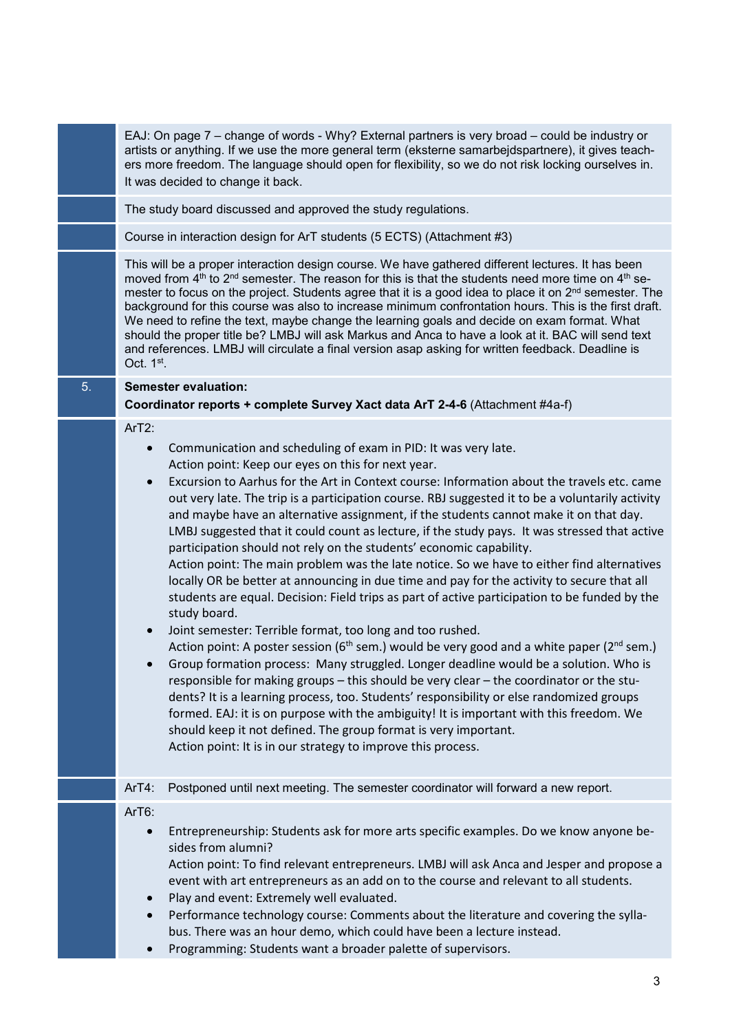|    | EAJ: On page 7 – change of words - Why? External partners is very broad – could be industry or<br>artists or anything. If we use the more general term (eksterne samarbejdspartnere), it gives teach-<br>ers more freedom. The language should open for flexibility, so we do not risk locking ourselves in.<br>It was decided to change it back.                                                                                                                                                                                                                                                                                                                                                                                                                                                                                                                                                                                                                                                                                                                                                                                                                                                                                                                                                                                                                                                                                                                                                                                                                                                                                                   |
|----|-----------------------------------------------------------------------------------------------------------------------------------------------------------------------------------------------------------------------------------------------------------------------------------------------------------------------------------------------------------------------------------------------------------------------------------------------------------------------------------------------------------------------------------------------------------------------------------------------------------------------------------------------------------------------------------------------------------------------------------------------------------------------------------------------------------------------------------------------------------------------------------------------------------------------------------------------------------------------------------------------------------------------------------------------------------------------------------------------------------------------------------------------------------------------------------------------------------------------------------------------------------------------------------------------------------------------------------------------------------------------------------------------------------------------------------------------------------------------------------------------------------------------------------------------------------------------------------------------------------------------------------------------------|
|    | The study board discussed and approved the study regulations.                                                                                                                                                                                                                                                                                                                                                                                                                                                                                                                                                                                                                                                                                                                                                                                                                                                                                                                                                                                                                                                                                                                                                                                                                                                                                                                                                                                                                                                                                                                                                                                       |
|    | Course in interaction design for ArT students (5 ECTS) (Attachment #3)                                                                                                                                                                                                                                                                                                                                                                                                                                                                                                                                                                                                                                                                                                                                                                                                                                                                                                                                                                                                                                                                                                                                                                                                                                                                                                                                                                                                                                                                                                                                                                              |
|    | This will be a proper interaction design course. We have gathered different lectures. It has been<br>moved from 4 <sup>th</sup> to 2 <sup>nd</sup> semester. The reason for this is that the students need more time on 4 <sup>th</sup> se-<br>mester to focus on the project. Students agree that it is a good idea to place it on $2nd$ semester. The<br>background for this course was also to increase minimum confrontation hours. This is the first draft.<br>We need to refine the text, maybe change the learning goals and decide on exam format. What<br>should the proper title be? LMBJ will ask Markus and Anca to have a look at it. BAC will send text<br>and references. LMBJ will circulate a final version asap asking for written feedback. Deadline is<br>Oct. 1st.                                                                                                                                                                                                                                                                                                                                                                                                                                                                                                                                                                                                                                                                                                                                                                                                                                                             |
| 5. | <b>Semester evaluation:</b><br>Coordinator reports + complete Survey Xact data ArT 2-4-6 (Attachment #4a-f)                                                                                                                                                                                                                                                                                                                                                                                                                                                                                                                                                                                                                                                                                                                                                                                                                                                                                                                                                                                                                                                                                                                                                                                                                                                                                                                                                                                                                                                                                                                                         |
|    | ArT2:<br>Communication and scheduling of exam in PID: It was very late.<br>$\bullet$<br>Action point: Keep our eyes on this for next year.<br>Excursion to Aarhus for the Art in Context course: Information about the travels etc. came<br>$\bullet$<br>out very late. The trip is a participation course. RBJ suggested it to be a voluntarily activity<br>and maybe have an alternative assignment, if the students cannot make it on that day.<br>LMBJ suggested that it could count as lecture, if the study pays. It was stressed that active<br>participation should not rely on the students' economic capability.<br>Action point: The main problem was the late notice. So we have to either find alternatives<br>locally OR be better at announcing in due time and pay for the activity to secure that all<br>students are equal. Decision: Field trips as part of active participation to be funded by the<br>study board.<br>Joint semester: Terrible format, too long and too rushed.<br>$\bullet$<br>Action point: A poster session (6 <sup>th</sup> sem.) would be very good and a white paper (2 <sup>nd</sup> sem.)<br>Group formation process: Many struggled. Longer deadline would be a solution. Who is<br>responsible for making groups – this should be very clear – the coordinator or the stu-<br>dents? It is a learning process, too. Students' responsibility or else randomized groups<br>formed. EAJ: it is on purpose with the ambiguity! It is important with this freedom. We<br>should keep it not defined. The group format is very important.<br>Action point: It is in our strategy to improve this process. |
|    | Postponed until next meeting. The semester coordinator will forward a new report.<br>$ArT4$ :                                                                                                                                                                                                                                                                                                                                                                                                                                                                                                                                                                                                                                                                                                                                                                                                                                                                                                                                                                                                                                                                                                                                                                                                                                                                                                                                                                                                                                                                                                                                                       |
|    | ArT6:<br>Entrepreneurship: Students ask for more arts specific examples. Do we know anyone be-<br>$\bullet$<br>sides from alumni?<br>Action point: To find relevant entrepreneurs. LMBJ will ask Anca and Jesper and propose a<br>event with art entrepreneurs as an add on to the course and relevant to all students.<br>Play and event: Extremely well evaluated.<br>$\bullet$<br>Performance technology course: Comments about the literature and covering the sylla-<br>$\bullet$<br>bus. There was an hour demo, which could have been a lecture instead.<br>Programming: Students want a broader palette of supervisors.                                                                                                                                                                                                                                                                                                                                                                                                                                                                                                                                                                                                                                                                                                                                                                                                                                                                                                                                                                                                                     |
|    |                                                                                                                                                                                                                                                                                                                                                                                                                                                                                                                                                                                                                                                                                                                                                                                                                                                                                                                                                                                                                                                                                                                                                                                                                                                                                                                                                                                                                                                                                                                                                                                                                                                     |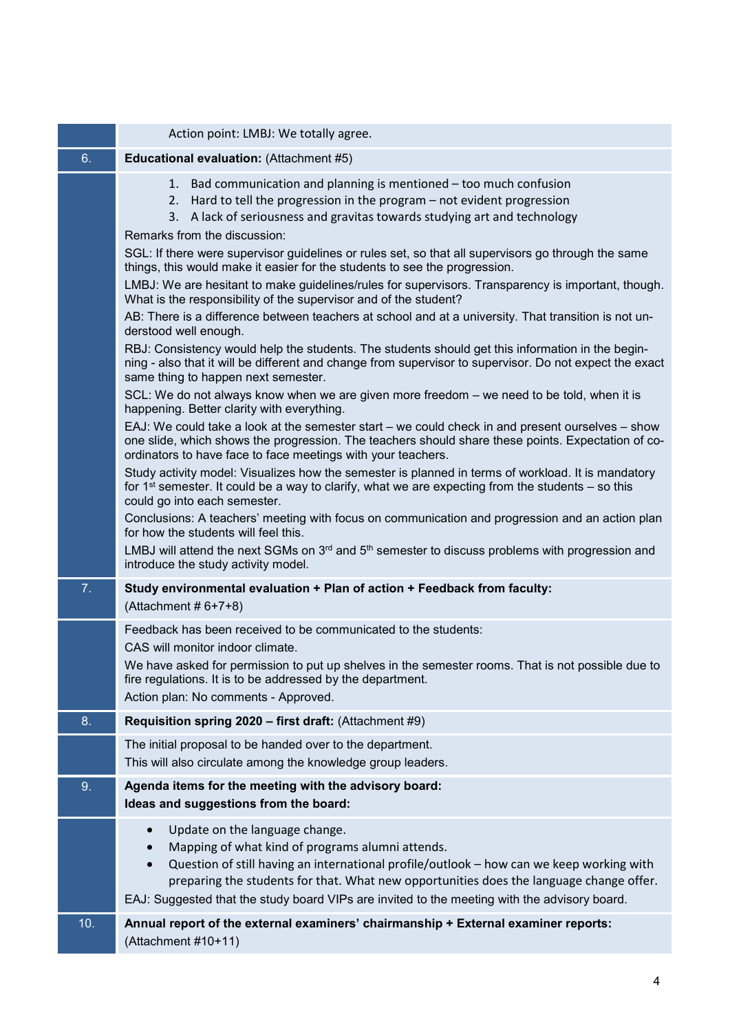|     | Action point: LMBJ: We totally agree.                                                                                                                                                                                                                                                                                                                                                               |
|-----|-----------------------------------------------------------------------------------------------------------------------------------------------------------------------------------------------------------------------------------------------------------------------------------------------------------------------------------------------------------------------------------------------------|
| 6.  | Educational evaluation: (Attachment #5)                                                                                                                                                                                                                                                                                                                                                             |
|     | 1. Bad communication and planning is mentioned – too much confusion<br>2. Hard to tell the progression in the program – not evident progression<br>A lack of seriousness and gravitas towards studying art and technology<br>3.<br>Remarks from the discussion:                                                                                                                                     |
|     | SGL: If there were supervisor guidelines or rules set, so that all supervisors go through the same<br>things, this would make it easier for the students to see the progression.                                                                                                                                                                                                                    |
|     | LMBJ: We are hesitant to make guidelines/rules for supervisors. Transparency is important, though.<br>What is the responsibility of the supervisor and of the student?                                                                                                                                                                                                                              |
|     | AB: There is a difference between teachers at school and at a university. That transition is not un-<br>derstood well enough.                                                                                                                                                                                                                                                                       |
|     | RBJ: Consistency would help the students. The students should get this information in the begin-<br>ning - also that it will be different and change from supervisor to supervisor. Do not expect the exact<br>same thing to happen next semester.                                                                                                                                                  |
|     | SCL: We do not always know when we are given more freedom – we need to be told, when it is<br>happening. Better clarity with everything.                                                                                                                                                                                                                                                            |
|     | EAJ: We could take a look at the semester start - we could check in and present ourselves - show<br>one slide, which shows the progression. The teachers should share these points. Expectation of co-<br>ordinators to have face to face meetings with your teachers.                                                                                                                              |
|     | Study activity model: Visualizes how the semester is planned in terms of workload. It is mandatory<br>for 1 <sup>st</sup> semester. It could be a way to clarify, what we are expecting from the students $-$ so this<br>could go into each semester.                                                                                                                                               |
|     | Conclusions: A teachers' meeting with focus on communication and progression and an action plan<br>for how the students will feel this.                                                                                                                                                                                                                                                             |
|     | LMBJ will attend the next SGMs on 3 <sup>rd</sup> and 5 <sup>th</sup> semester to discuss problems with progression and<br>introduce the study activity model.                                                                                                                                                                                                                                      |
| 7.  | Study environmental evaluation + Plan of action + Feedback from faculty:<br>(Attachment $# 6+7+8$ )                                                                                                                                                                                                                                                                                                 |
|     | Feedback has been received to be communicated to the students:<br>CAS will monitor indoor climate.                                                                                                                                                                                                                                                                                                  |
|     | We have asked for permission to put up shelves in the semester rooms. That is not possible due to<br>fire regulations. It is to be addressed by the department.<br>Action plan: No comments - Approved.                                                                                                                                                                                             |
| 8.  | Requisition spring 2020 - first draft: (Attachment #9)                                                                                                                                                                                                                                                                                                                                              |
|     | The initial proposal to be handed over to the department.<br>This will also circulate among the knowledge group leaders.                                                                                                                                                                                                                                                                            |
| 9.  | Agenda items for the meeting with the advisory board:<br>Ideas and suggestions from the board:                                                                                                                                                                                                                                                                                                      |
|     | Update on the language change.<br>$\bullet$<br>Mapping of what kind of programs alumni attends.<br>Question of still having an international profile/outlook - how can we keep working with<br>$\bullet$<br>preparing the students for that. What new opportunities does the language change offer.<br>EAJ: Suggested that the study board VIPs are invited to the meeting with the advisory board. |
| 10. | Annual report of the external examiners' chairmanship + External examiner reports:<br>(Attachment #10+11)                                                                                                                                                                                                                                                                                           |